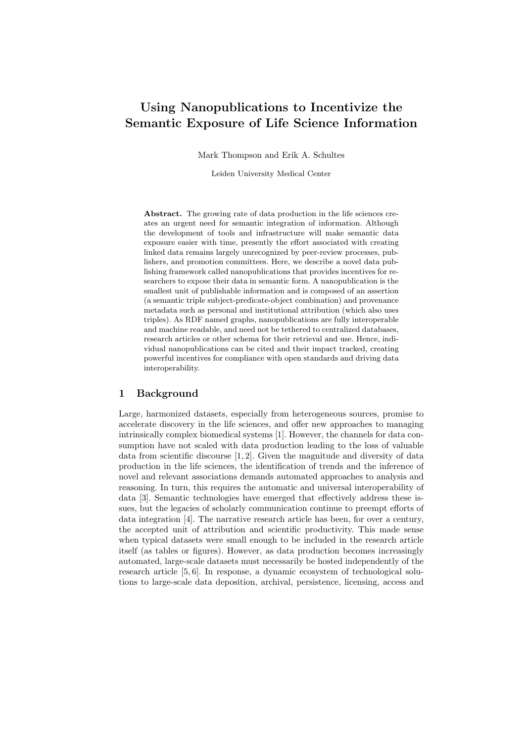# Using Nanopublications to Incentivize the Semantic Exposure of Life Science Information

Mark Thompson and Erik A. Schultes

Leiden University Medical Center

Abstract. The growing rate of data production in the life sciences creates an urgent need for semantic integration of information. Although the development of tools and infrastructure will make semantic data exposure easier with time, presently the effort associated with creating linked data remains largely unrecognized by peer-review processes, publishers, and promotion committees. Here, we describe a novel data publishing framework called nanopublications that provides incentives for researchers to expose their data in semantic form. A nanopublication is the smallest unit of publishable information and is composed of an assertion (a semantic triple subject-predicate-object combination) and provenance metadata such as personal and institutional attribution (which also uses triples). As RDF named graphs, nanopublications are fully interoperable and machine readable, and need not be tethered to centralized databases, research articles or other schema for their retrieval and use. Hence, individual nanopublications can be cited and their impact tracked, creating powerful incentives for compliance with open standards and driving data interoperability.

### 1 Background

Large, harmonized datasets, especially from heterogeneous sources, promise to accelerate discovery in the life sciences, and offer new approaches to managing intrinsically complex biomedical systems [1]. However, the channels for data consumption have not scaled with data production leading to the loss of valuable data from scientific discourse [1, 2]. Given the magnitude and diversity of data production in the life sciences, the identification of trends and the inference of novel and relevant associations demands automated approaches to analysis and reasoning. In turn, this requires the automatic and universal interoperability of data [3]. Semantic technologies have emerged that effectively address these issues, but the legacies of scholarly communication continue to preempt efforts of data integration [4]. The narrative research article has been, for over a century, the accepted unit of attribution and scientific productivity. This made sense when typical datasets were small enough to be included in the research article itself (as tables or figures). However, as data production becomes increasingly automated, large-scale datasets must necessarily be hosted independently of the research article [5, 6]. In response, a dynamic ecosystem of technological solutions to large-scale data deposition, archival, persistence, licensing, access and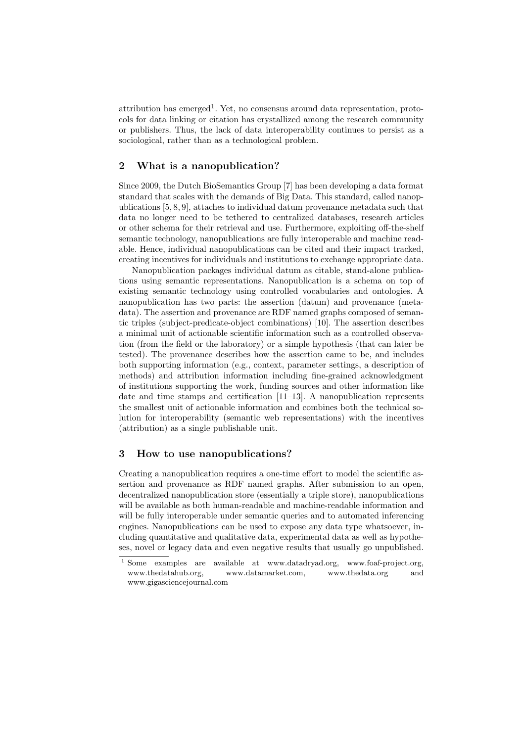attribution has emerged<sup>1</sup>. Yet, no consensus around data representation, protocols for data linking or citation has crystallized among the research community or publishers. Thus, the lack of data interoperability continues to persist as a sociological, rather than as a technological problem.

## 2 What is a nanopublication?

Since 2009, the Dutch BioSemantics Group [7] has been developing a data format standard that scales with the demands of Big Data. This standard, called nanopublications [5, 8, 9], attaches to individual datum provenance metadata such that data no longer need to be tethered to centralized databases, research articles or other schema for their retrieval and use. Furthermore, exploiting off-the-shelf semantic technology, nanopublications are fully interoperable and machine readable. Hence, individual nanopublications can be cited and their impact tracked, creating incentives for individuals and institutions to exchange appropriate data.

Nanopublication packages individual datum as citable, stand-alone publications using semantic representations. Nanopublication is a schema on top of existing semantic technology using controlled vocabularies and ontologies. A nanopublication has two parts: the assertion (datum) and provenance (metadata). The assertion and provenance are RDF named graphs composed of semantic triples (subject-predicate-object combinations) [10]. The assertion describes a minimal unit of actionable scientific information such as a controlled observation (from the field or the laboratory) or a simple hypothesis (that can later be tested). The provenance describes how the assertion came to be, and includes both supporting information (e.g., context, parameter settings, a description of methods) and attribution information including fine-grained acknowledgment of institutions supporting the work, funding sources and other information like date and time stamps and certification [11–13]. A nanopublication represents the smallest unit of actionable information and combines both the technical solution for interoperability (semantic web representations) with the incentives (attribution) as a single publishable unit.

### 3 How to use nanopublications?

Creating a nanopublication requires a one-time effort to model the scientific assertion and provenance as RDF named graphs. After submission to an open, decentralized nanopublication store (essentially a triple store), nanopublications will be available as both human-readable and machine-readable information and will be fully interoperable under semantic queries and to automated inferencing engines. Nanopublications can be used to expose any data type whatsoever, including quantitative and qualitative data, experimental data as well as hypotheses, novel or legacy data and even negative results that usually go unpublished.

<sup>&</sup>lt;sup>1</sup> Some examples are available at www.datadryad.org, www.foaf-project.org, www.thedatahub.org, www.datamarket.com, www.thedata.org and www.gigasciencejournal.com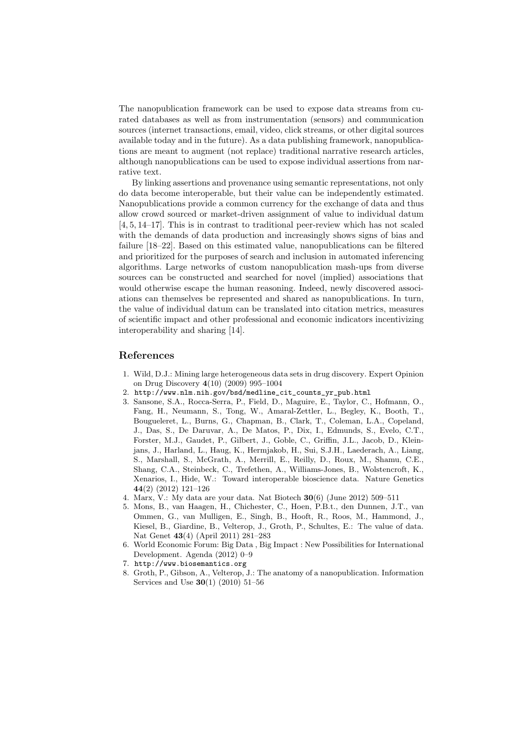The nanopublication framework can be used to expose data streams from curated databases as well as from instrumentation (sensors) and communication sources (internet transactions, email, video, click streams, or other digital sources available today and in the future). As a data publishing framework, nanopublications are meant to augment (not replace) traditional narrative research articles, although nanopublications can be used to expose individual assertions from narrative text.

By linking assertions and provenance using semantic representations, not only do data become interoperable, but their value can be independently estimated. Nanopublications provide a common currency for the exchange of data and thus allow crowd sourced or market-driven assignment of value to individual datum [4, 5, 14–17]. This is in contrast to traditional peer-review which has not scaled with the demands of data production and increasingly shows signs of bias and failure [18–22]. Based on this estimated value, nanopublications can be filtered and prioritized for the purposes of search and inclusion in automated inferencing algorithms. Large networks of custom nanopublication mash-ups from diverse sources can be constructed and searched for novel (implied) associations that would otherwise escape the human reasoning. Indeed, newly discovered associations can themselves be represented and shared as nanopublications. In turn, the value of individual datum can be translated into citation metrics, measures of scientific impact and other professional and economic indicators incentivizing interoperability and sharing [14].

## References

- 1. Wild, D.J.: Mining large heterogeneous data sets in drug discovery. Expert Opinion on Drug Discovery 4(10) (2009) 995–1004
- 2. http://www.nlm.nih.gov/bsd/medline\_cit\_counts\_yr\_pub.html
- 3. Sansone, S.A., Rocca-Serra, P., Field, D., Maguire, E., Taylor, C., Hofmann, O., Fang, H., Neumann, S., Tong, W., Amaral-Zettler, L., Begley, K., Booth, T., Bougueleret, L., Burns, G., Chapman, B., Clark, T., Coleman, L.A., Copeland, J., Das, S., De Daruvar, A., De Matos, P., Dix, I., Edmunds, S., Evelo, C.T., Forster, M.J., Gaudet, P., Gilbert, J., Goble, C., Griffin, J.L., Jacob, D., Kleinjans, J., Harland, L., Haug, K., Hermjakob, H., Sui, S.J.H., Laederach, A., Liang, S., Marshall, S., McGrath, A., Merrill, E., Reilly, D., Roux, M., Shamu, C.E., Shang, C.A., Steinbeck, C., Trefethen, A., Williams-Jones, B., Wolstencroft, K., Xenarios, I., Hide, W.: Toward interoperable bioscience data. Nature Genetics 44(2) (2012) 121–126
- 4. Marx, V.: My data are your data. Nat Biotech 30(6) (June 2012) 509–511
- 5. Mons, B., van Haagen, H., Chichester, C., Hoen, P.B.t., den Dunnen, J.T., van Ommen, G., van Mulligen, E., Singh, B., Hooft, R., Roos, M., Hammond, J., Kiesel, B., Giardine, B., Velterop, J., Groth, P., Schultes, E.: The value of data. Nat Genet 43(4) (April 2011) 281–283
- 6. World Economic Forum: Big Data , Big Impact : New Possibilities for International Development. Agenda (2012) 0–9
- 7. http://www.biosemantics.org
- 8. Groth, P., Gibson, A., Velterop, J.: The anatomy of a nanopublication. Information Services and Use 30(1) (2010) 51–56